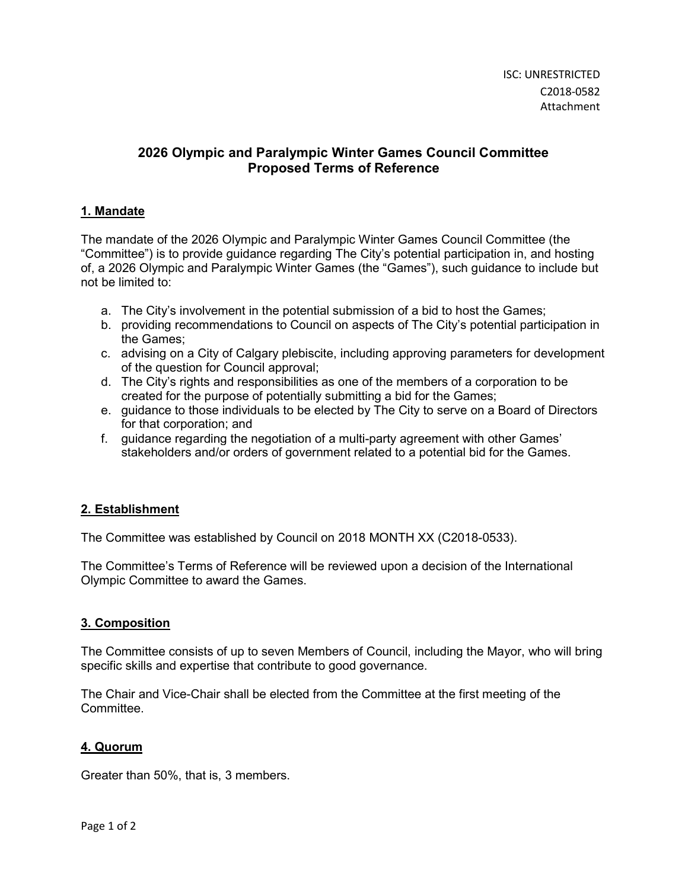# 2026 Olympic and Paralympic Winter Games Council Committee Proposed Terms of Reference

## 1. Mandate

The mandate of the 2026 Olympic and Paralympic Winter Games Council Committee (the "Committee") is to provide guidance regarding The City's potential participation in, and hosting of, a 2026 Olympic and Paralympic Winter Games (the "Games"), such guidance to include but not be limited to:

- a. The City's involvement in the potential submission of a bid to host the Games;
- b. providing recommendations to Council on aspects of The City's potential participation in the Games;
- c. advising on a City of Calgary plebiscite, including approving parameters for development of the question for Council approval;
- d. The City's rights and responsibilities as one of the members of a corporation to be created for the purpose of potentially submitting a bid for the Games;
- e. guidance to those individuals to be elected by The City to serve on a Board of Directors for that corporation; and
- f. guidance regarding the negotiation of a multi-party agreement with other Games' stakeholders and/or orders of government related to a potential bid for the Games.

# 2. Establishment

The Committee was established by Council on 2018 MONTH XX (C2018-0533).

The Committee's Terms of Reference will be reviewed upon a decision of the International Olympic Committee to award the Games.

#### 3. Composition

The Committee consists of up to seven Members of Council, including the Mayor, who will bring specific skills and expertise that contribute to good governance.

The Chair and Vice-Chair shall be elected from the Committee at the first meeting of the Committee.

# 4. Quorum

Greater than 50%, that is, 3 members.